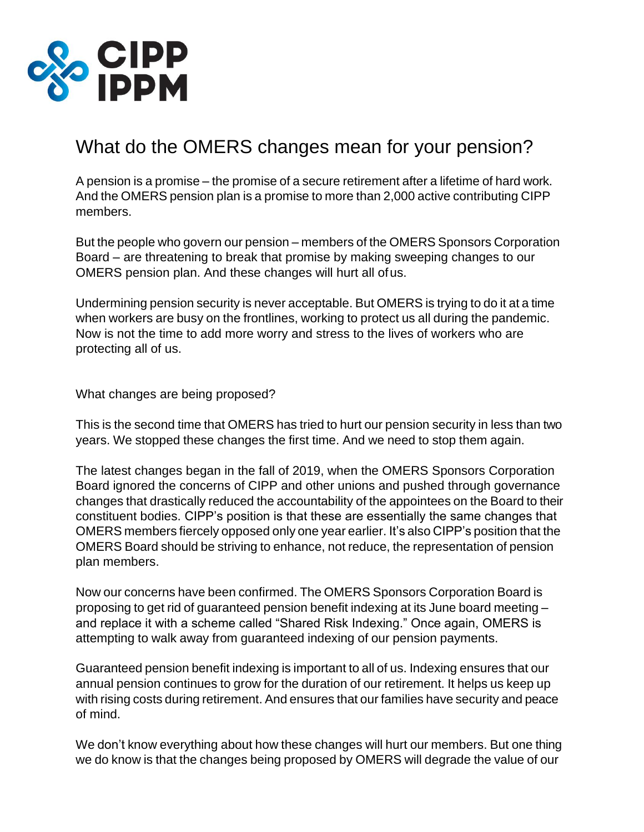

## What do the OMERS changes mean for your pension?

A pension is a promise – the promise of a secure retirement after a lifetime of hard work. And the OMERS pension plan is a promise to more than 2,000 active contributing CIPP members.

But the people who govern our pension – members of the OMERS Sponsors Corporation Board – are threatening to break that promise by making sweeping changes to our OMERS pension plan. And these changes will hurt all ofus.

Undermining pension security is never acceptable. But OMERS is trying to do it at a time when workers are busy on the frontlines, working to protect us all during the pandemic. Now is not the time to add more worry and stress to the lives of workers who are protecting all of us.

What changes are being proposed?

This is the second time that OMERS has tried to hurt our pension security in less than two years. We stopped these changes the first time. And we need to stop them again.

The latest changes began in the fall of 2019, when the OMERS Sponsors Corporation Board ignored the concerns of CIPP and other unions and pushed through governance changes that drastically reduced the accountability of the appointees on the Board to their constituent bodies. CIPP's position is that these are essentially the same changes that OMERS members fiercely opposed only one year earlier. It's also CIPP's position that the OMERS Board should be striving to enhance, not reduce, the representation of pension plan members.

Now our concerns have been confirmed. The OMERS Sponsors Corporation Board is proposing to get rid of guaranteed pension benefit indexing at its June board meeting – and replace it with a scheme called "Shared Risk Indexing." Once again, OMERS is attempting to walk away from guaranteed indexing of our pension payments.

Guaranteed pension benefit indexing is important to all of us. Indexing ensures that our annual pension continues to grow for the duration of our retirement. It helps us keep up with rising costs during retirement. And ensures that our families have security and peace of mind.

We don't know everything about how these changes will hurt our members. But one thing we do know is that the changes being proposed by OMERS will degrade the value of our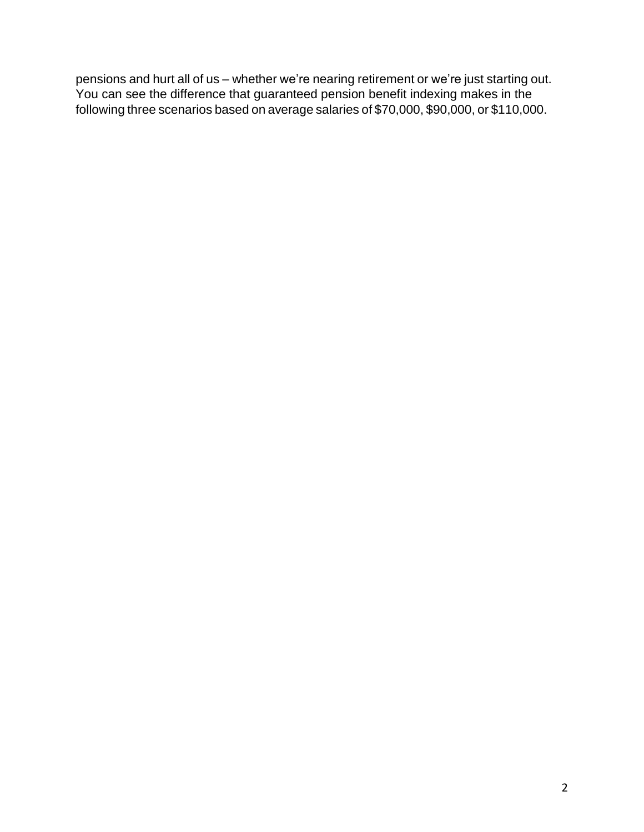pensions and hurt all of us – whether we're nearing retirement or we're just starting out. You can see the difference that guaranteed pension benefit indexing makes in the following three scenarios based on average salaries of \$70,000, \$90,000, or \$110,000.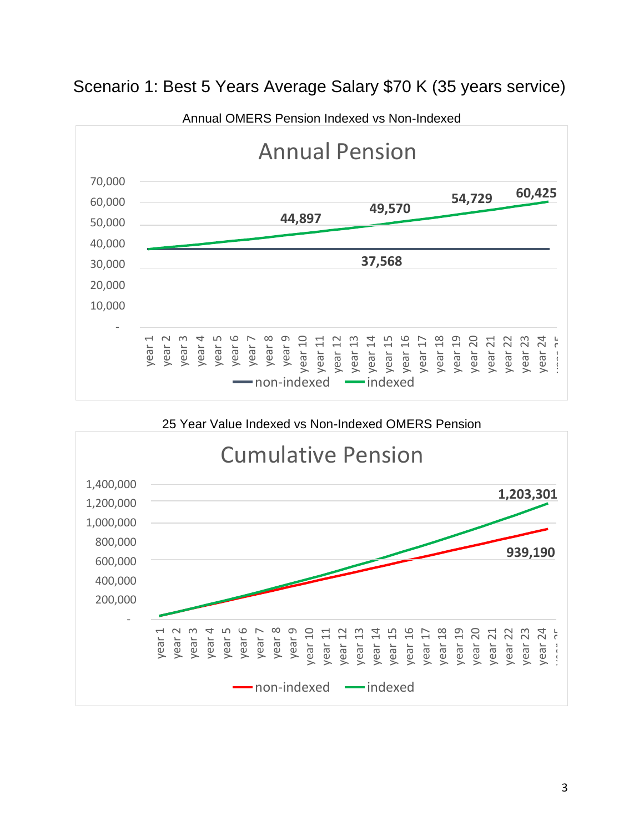

## Scenario 1: Best 5 Years Average Salary \$70 K (35 years service)

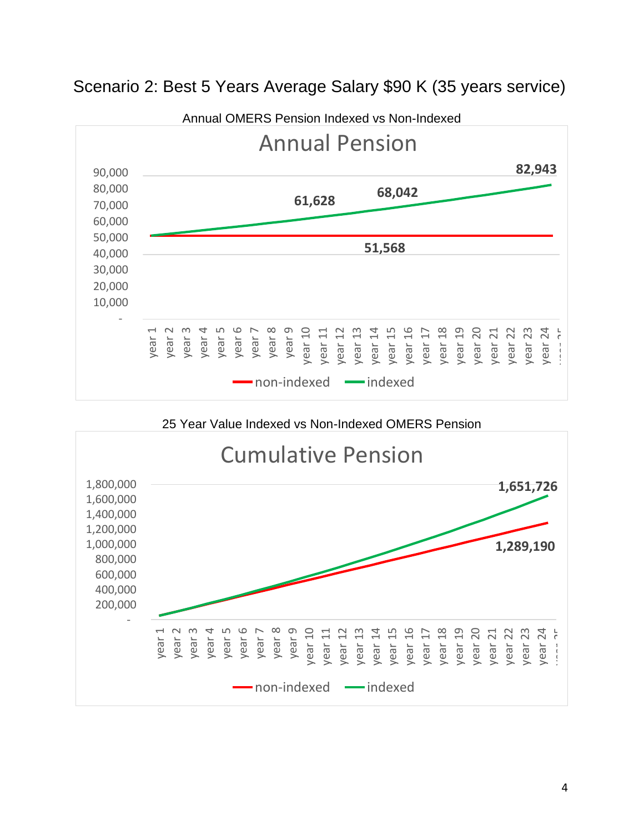

## Scenario 2: Best 5 Years Average Salary \$90 K (35 years service)

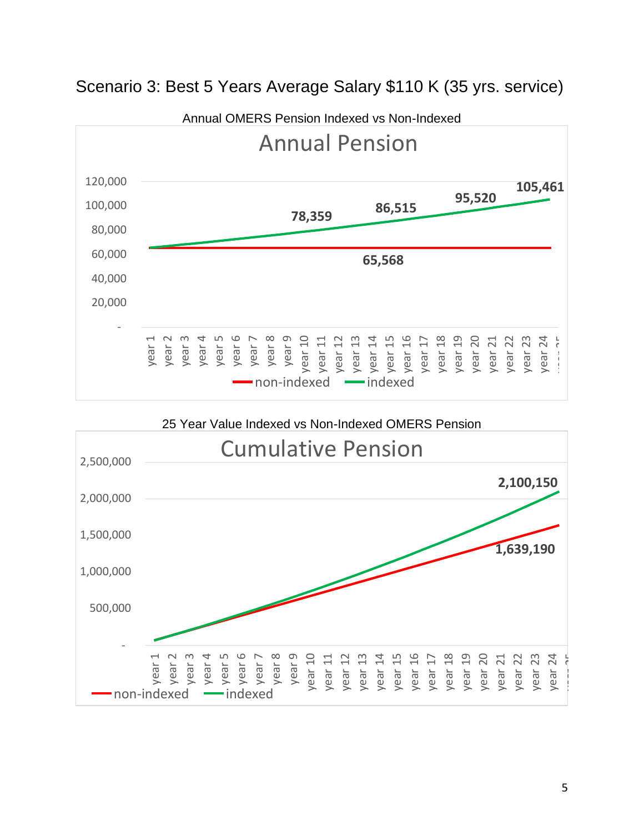

## Scenario 3: Best 5 Years Average Salary \$110 K (35 yrs. service)

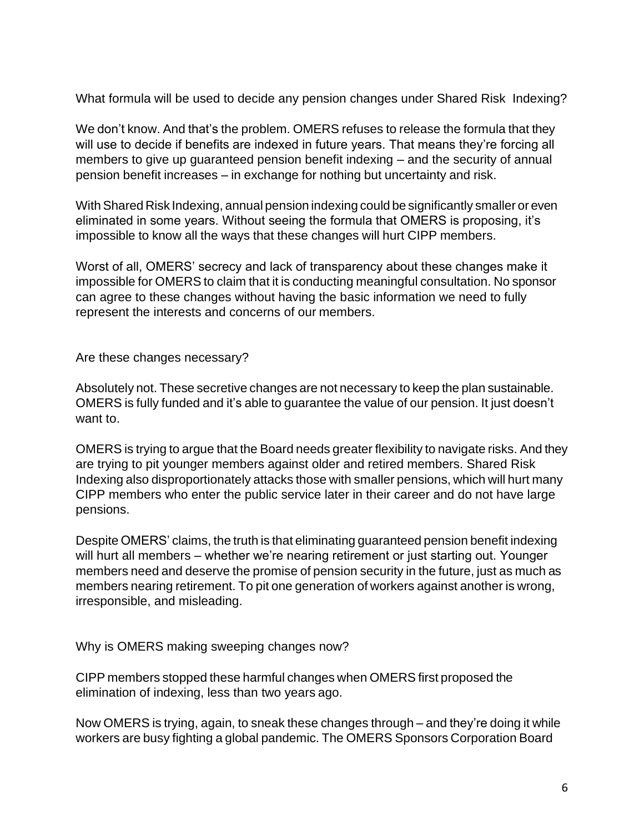What formula will be used to decide any pension changes under Shared Risk Indexing?

We don't know. And that's the problem. OMERS refuses to release the formula that they will use to decide if benefits are indexed in future years. That means they're forcing all members to give up guaranteed pension benefit indexing – and the security of annual pension benefit increases – in exchange for nothing but uncertainty and risk.

With Shared Risk Indexing, annual pension indexing could be significantly smaller or even eliminated in some years. Without seeing the formula that OMERS is proposing, it's impossible to know all the ways that these changes will hurt CIPP members.

Worst of all, OMERS' secrecy and lack of transparency about these changes make it impossible for OMERS to claim that it is conducting meaningful consultation. No sponsor can agree to these changes without having the basic information we need to fully represent the interests and concerns of our members.

Are these changes necessary?

Absolutely not. These secretive changes are not necessary to keep the plan sustainable. OMERS is fully funded and it's able to guarantee the value of our pension. It just doesn't want to.

OMERS is trying to argue that the Board needs greater flexibility to navigate risks. And they are trying to pit younger members against older and retired members. Shared Risk Indexing also disproportionately attacks those with smaller pensions, which will hurt many CIPP members who enter the public service later in their career and do not have large pensions.

Despite OMERS' claims, the truth is that eliminating guaranteed pension benefit indexing will hurt all members – whether we're nearing retirement or just starting out. Younger members need and deserve the promise of pension security in the future, just as much as members nearing retirement. To pit one generation of workers against another is wrong, irresponsible, and misleading.

Why is OMERS making sweeping changes now?

CIPP members stopped these harmful changes when OMERS first proposed the elimination of indexing, less than two years ago.

Now OMERS is trying, again, to sneak these changes through – and they're doing it while workers are busy fighting a global pandemic. The OMERS Sponsors Corporation Board